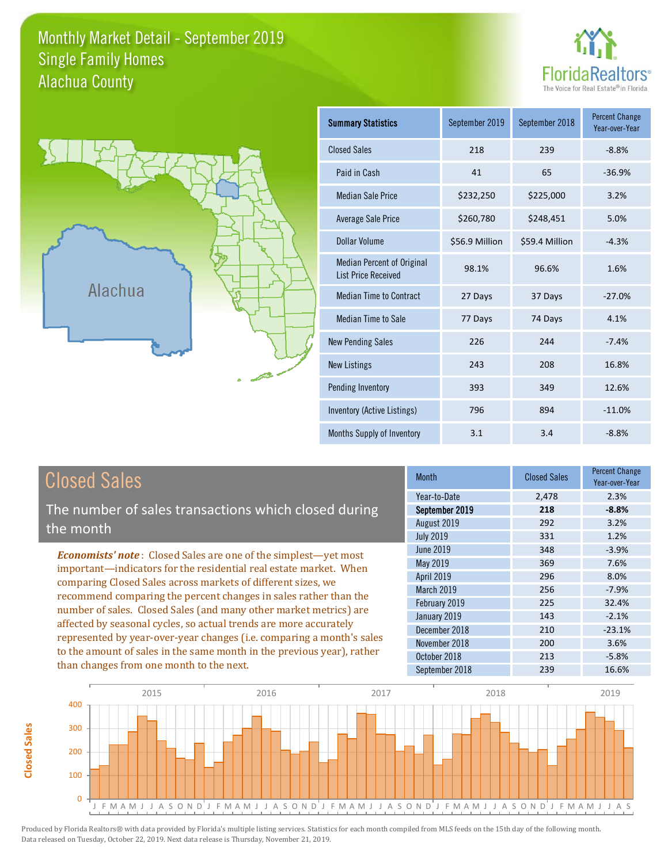## Monthly Market Detail - September 2019 Alachua County Single Family Homes





**Closed Sales**

**Closed Sales** 

| <b>Summary Statistics</b>                                       | September 2019<br>September 2018 |                | <b>Percent Change</b><br>Year-over-Year |
|-----------------------------------------------------------------|----------------------------------|----------------|-----------------------------------------|
| <b>Closed Sales</b>                                             | 218                              | 239            | $-8.8%$                                 |
| Paid in Cash                                                    | 41                               | 65             | $-36.9%$                                |
| <b>Median Sale Price</b>                                        | \$232,250                        | \$225,000      | 3.2%                                    |
| Average Sale Price                                              | \$260,780                        | \$248,451      | 5.0%                                    |
| Dollar Volume                                                   | \$56.9 Million                   | \$59.4 Million | $-4.3%$                                 |
| <b>Median Percent of Original</b><br><b>List Price Received</b> | 98.1%                            | 96.6%          | 1.6%                                    |
| <b>Median Time to Contract</b>                                  | 27 Days                          | 37 Days        | $-27.0%$                                |
| Median Time to Sale                                             | 77 Days                          | 74 Days        | 4.1%                                    |
| <b>New Pending Sales</b>                                        | 226                              | 244            | $-7.4%$                                 |
| <b>New Listings</b>                                             | 243                              | 208            | 16.8%                                   |
| Pending Inventory                                               | 393                              | 349            | 12.6%                                   |
| Inventory (Active Listings)                                     | 796                              | 894            | $-11.0%$                                |
| Months Supply of Inventory                                      | 3.1                              | 3.4            | $-8.8%$                                 |

| <b>Closed Sales</b>                                                                                                                                                                                                                                                                                                                                                                                                                                                                                                                                                                                                      | <b>Month</b>                                                                                                                                           | <b>Closed Sales</b>                                                | <b>Percent Change</b><br>Year-over-Year                                                        |
|--------------------------------------------------------------------------------------------------------------------------------------------------------------------------------------------------------------------------------------------------------------------------------------------------------------------------------------------------------------------------------------------------------------------------------------------------------------------------------------------------------------------------------------------------------------------------------------------------------------------------|--------------------------------------------------------------------------------------------------------------------------------------------------------|--------------------------------------------------------------------|------------------------------------------------------------------------------------------------|
| The number of sales transactions which closed during<br>the month                                                                                                                                                                                                                                                                                                                                                                                                                                                                                                                                                        | Year-to-Date<br>September 2019<br>August 2019<br><b>July 2019</b>                                                                                      | 2,478<br>218<br>292<br>331                                         | 2.3%<br>$-8.8%$<br>3.2%<br>1.2%                                                                |
| <b>Economists' note:</b> Closed Sales are one of the simplest—yet most<br>important-indicators for the residential real estate market. When<br>comparing Closed Sales across markets of different sizes, we<br>recommend comparing the percent changes in sales rather than the<br>number of sales. Closed Sales (and many other market metrics) are<br>affected by seasonal cycles, so actual trends are more accurately<br>represented by year-over-year changes (i.e. comparing a month's sales<br>to the amount of sales in the same month in the previous year), rather<br>than changes from one month to the next. | June 2019<br>May 2019<br>April 2019<br>March 2019<br>February 2019<br>January 2019<br>December 2018<br>November 2018<br>October 2018<br>September 2018 | 348<br>369<br>296<br>256<br>225<br>143<br>210<br>200<br>213<br>239 | $-3.9%$<br>7.6%<br>8.0%<br>$-7.9%$<br>32.4%<br>$-2.1%$<br>$-23.1%$<br>3.6%<br>$-5.8%$<br>16.6% |

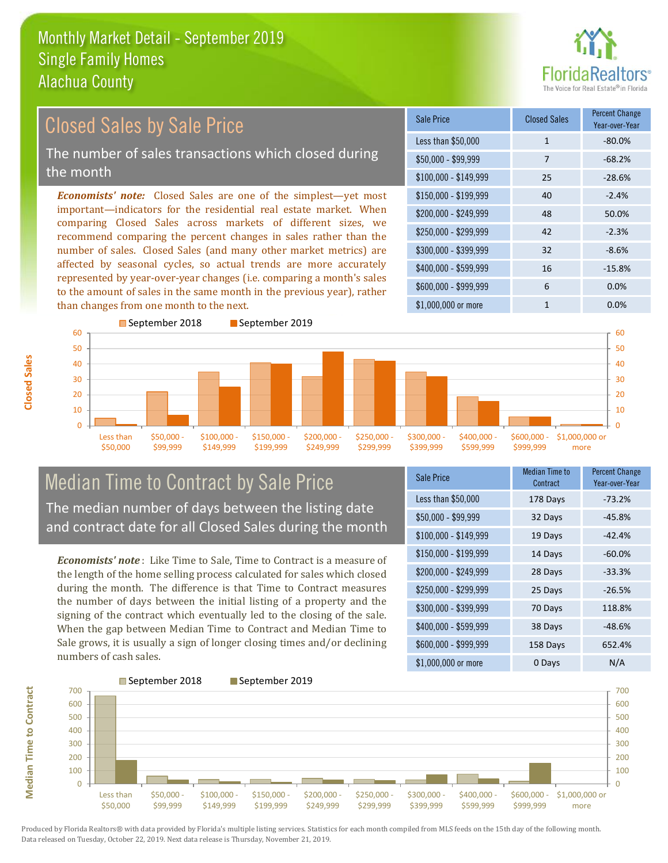

### \$100,000 - \$149,999 25 -28.6% Sale Price Closed Sales Percent Change Year-over-Year Less than \$50,000 1 1 -80.0%  $$50.000 - $99.999$  7 -68.2% \$150,000 - \$199,999 40 -2.4% \$200,000 - \$249,999 48 50.0% \$400,000 - \$599,999 16 -15.8% \$600,000 - \$999,999 6 0.0% *Economists' note:* Closed Sales are one of the simplest—yet most important—indicators for the residential real estate market. When comparing Closed Sales across markets of different sizes, we recommend comparing the percent changes in sales rather than the number of sales. Closed Sales (and many other market metrics) are affected by seasonal cycles, so actual trends are more accurately represented by year-over-year changes (i.e. comparing a month's sales to the amount of sales in the same month in the previous year), rather than changes from one month to the next. \$1,000,000 or more 1 0.0%  $$250,000 - $299,999$  42 -2.3% \$300,000 - \$399,999 32 -8.6% 50 60 September 2018 September 2019 50 60 Closed Sales by Sale Price The number of sales transactions which closed during the month

#### $\Omega$ 10  $20$ 30  $40$ Less than \$50,000 \$50,000 - \$99,999 \$100,000 - \$149,999 \$150,000 - \$199,999 \$200,000 - \$249,999 \$250,000 - \$299,999 \$300,000 - \$399,999 \$400,000 - \$599,999 \$600,000 - \$999,999 \$1,000,000 or more  $\Omega$ 10  $20$ 30 40

## Median Time to Contract by Sale Price The median number of days between the listing date and contract date for all Closed Sales during the month

*Economists' note* : Like Time to Sale, Time to Contract is a measure of the length of the home selling process calculated for sales which closed during the month. The difference is that Time to Contract measures the number of days between the initial listing of a property and the signing of the contract which eventually led to the closing of the sale. When the gap between Median Time to Contract and Median Time to Sale grows, it is usually a sign of longer closing times and/or declining numbers of cash sales.

| Sale Price            | Median Time to<br>Contract | <b>Percent Change</b><br>Year-over-Year |
|-----------------------|----------------------------|-----------------------------------------|
| Less than \$50,000    | 178 Days                   | $-73.2%$                                |
| $$50,000 - $99,999$   | 32 Days                    | $-45.8%$                                |
| $$100,000 - $149,999$ | 19 Days                    | $-42.4%$                                |
| \$150,000 - \$199,999 | 14 Days                    | $-60.0%$                                |
| \$200,000 - \$249,999 | 28 Days                    | $-33.3%$                                |
| \$250,000 - \$299,999 | 25 Days                    | $-26.5%$                                |
| \$300,000 - \$399,999 | 70 Days                    | 118.8%                                  |
| \$400,000 - \$599,999 | 38 Days                    | $-48.6%$                                |
| \$600,000 - \$999,999 | 158 Days                   | 652.4%                                  |
| \$1,000,000 or more   | 0 Days                     | N/A                                     |



**Median Time to Contract**

**Median Time to Contract**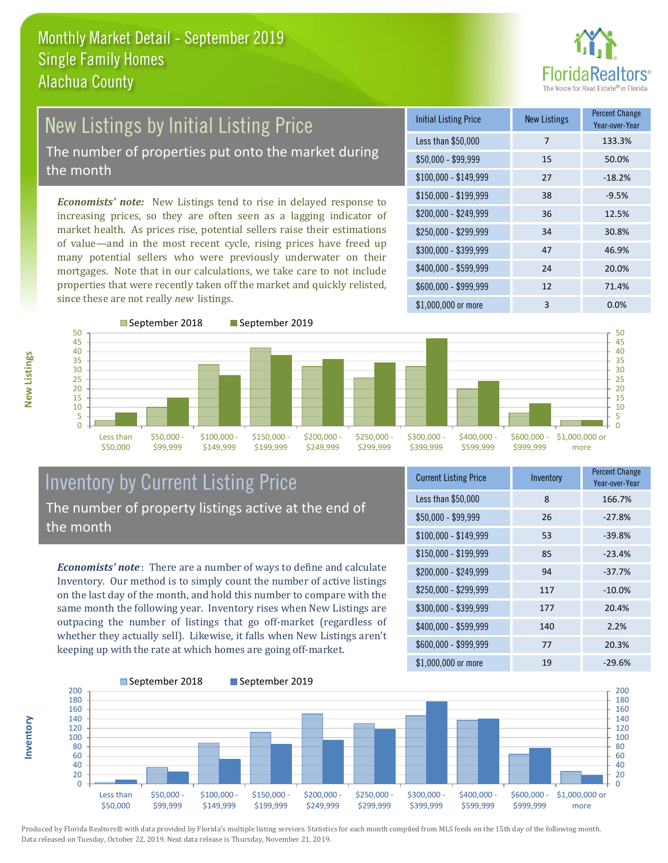

## New Listings by Initial Listing Price The number of properties put onto the market during the month

*Economists' note:* New Listings tend to rise in delayed response to increasing prices, so they are often seen as a lagging indicator of market health. As prices rise, potential sellers raise their estimations of value—and in the most recent cycle, rising prices have freed up many potential sellers who were previously underwater on their mortgages. Note that in our calculations, we take care to not include properties that were recently taken off the market and quickly relisted, since these are not really *new* listings.

| <b>Initial Listing Price</b> | <b>New Listings</b> | <b>Percent Change</b><br>Year-over-Year |
|------------------------------|---------------------|-----------------------------------------|
| Less than \$50,000           | 7                   | 133.3%                                  |
| $$50,000 - $99,999$          | 15                  | 50.0%                                   |
| $$100,000 - $149,999$        | 27                  | $-18.2%$                                |
| $$150,000 - $199,999$        | 38                  | $-9.5%$                                 |
| \$200,000 - \$249,999        | 36                  | 12.5%                                   |
| $$250,000 - $299,999$        | 34                  | 30.8%                                   |
| \$300,000 - \$399,999        | 47                  | 46.9%                                   |
| \$400,000 - \$599,999        | 24                  | 20.0%                                   |
| \$600,000 - \$999,999        | 12                  | 71.4%                                   |
| \$1,000,000 or more          | 3                   | 0.0%                                    |



## Inventory by Current Listing Price The number of property listings active at the end of the month

*Economists' note* : There are a number of ways to define and calculate Inventory. Our method is to simply count the number of active listings on the last day of the month, and hold this number to compare with the same month the following year. Inventory rises when New Listings are outpacing the number of listings that go off-market (regardless of whether they actually sell). Likewise, it falls when New Listings aren't keeping up with the rate at which homes are going off-market.

| <b>Current Listing Price</b> | Inventory | <b>Percent Change</b><br>Year-over-Year |
|------------------------------|-----------|-----------------------------------------|
| Less than \$50,000           | 8         | 166.7%                                  |
| $$50,000 - $99,999$          | 26        | $-27.8%$                                |
| $$100,000 - $149,999$        | 53        | $-39.8%$                                |
| $$150,000 - $199,999$        | 85        | $-23.4%$                                |
| \$200,000 - \$249,999        | 94        | $-37.7%$                                |
| \$250,000 - \$299,999        | 117       | $-10.0%$                                |
| \$300,000 - \$399,999        | 177       | 20.4%                                   |
| \$400,000 - \$599,999        | 140       | 2.2%                                    |
| \$600,000 - \$999,999        | 77        | 20.3%                                   |
| \$1,000,000 or more          | 19        | $-29.6%$                                |



**New Listings**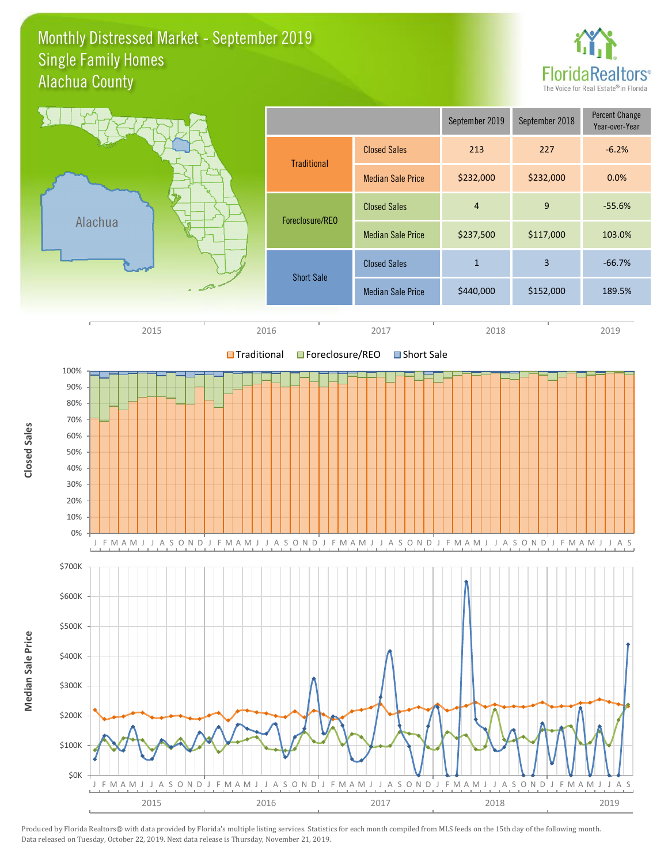## Monthly Distressed Market - September 2019 Alachua County Single Family Homes



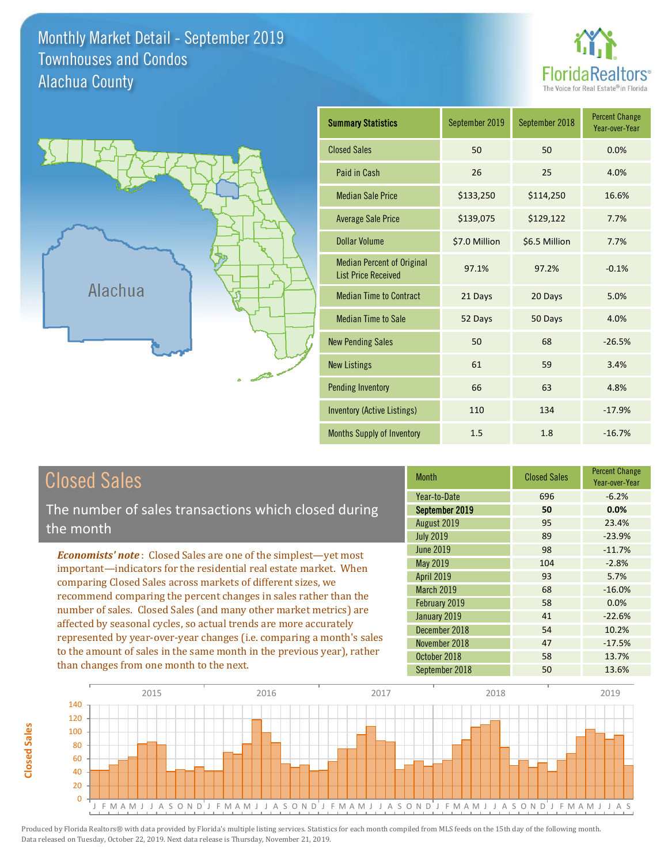Monthly Market Detail - September 2019 Alachua County Townhouses and Condos





**Closed Sales**

**Closed Sales** 

| <b>Summary Statistics</b>                                       | September 2019<br>September 2018 |               | <b>Percent Change</b><br>Year-over-Year |
|-----------------------------------------------------------------|----------------------------------|---------------|-----------------------------------------|
| <b>Closed Sales</b>                                             | 50                               | 50            | 0.0%                                    |
| Paid in Cash                                                    | 26                               | 25            | 4.0%                                    |
| <b>Median Sale Price</b>                                        | \$133,250                        | \$114,250     | 16.6%                                   |
| <b>Average Sale Price</b>                                       | \$139,075                        | \$129,122     | 7.7%                                    |
| <b>Dollar Volume</b>                                            | \$7.0 Million                    | \$6.5 Million | 7.7%                                    |
| <b>Median Percent of Original</b><br><b>List Price Received</b> | 97.1%                            | 97.2%         | $-0.1%$                                 |
| <b>Median Time to Contract</b>                                  | 21 Days                          | 20 Days       | 5.0%                                    |
| <b>Median Time to Sale</b>                                      | 52 Days                          | 50 Days       | 4.0%                                    |
| <b>New Pending Sales</b>                                        | 50                               | 68            | $-26.5%$                                |
| <b>New Listings</b>                                             | 61                               | 59            | 3.4%                                    |
| <b>Pending Inventory</b>                                        | 66                               | 63            | 4.8%                                    |
| <b>Inventory (Active Listings)</b>                              | 110                              | 134           | $-17.9%$                                |
| Months Supply of Inventory                                      | 1.5                              | 1.8           | $-16.7%$                                |

| <b>Closed Sales</b>                                                                                                                                                                                   | <b>Month</b>      | <b>Closed Sales</b> | <b>Percent Change</b><br>Year-over-Year |
|-------------------------------------------------------------------------------------------------------------------------------------------------------------------------------------------------------|-------------------|---------------------|-----------------------------------------|
|                                                                                                                                                                                                       | Year-to-Date      | 696                 | $-6.2%$                                 |
| The number of sales transactions which closed during                                                                                                                                                  | September 2019    | 50                  | 0.0%                                    |
| the month                                                                                                                                                                                             | August 2019       | 95                  | 23.4%                                   |
|                                                                                                                                                                                                       | <b>July 2019</b>  | 89                  | $-23.9%$                                |
| <b>Economists' note:</b> Closed Sales are one of the simplest-yet most                                                                                                                                | <b>June 2019</b>  | 98                  | $-11.7%$                                |
| important—indicators for the residential real estate market. When                                                                                                                                     | May 2019          | 104                 | $-2.8%$                                 |
| comparing Closed Sales across markets of different sizes, we<br>recommend comparing the percent changes in sales rather than the<br>number of sales. Closed Sales (and many other market metrics) are | <b>April 2019</b> | 93                  | 5.7%                                    |
|                                                                                                                                                                                                       | <b>March 2019</b> | 68                  | $-16.0%$                                |
|                                                                                                                                                                                                       | February 2019     | 58                  | 0.0%                                    |
|                                                                                                                                                                                                       | January 2019      | 41                  | $-22.6%$                                |
| affected by seasonal cycles, so actual trends are more accurately                                                                                                                                     | December 2018     | 54                  | 10.2%                                   |
| represented by year-over-year changes (i.e. comparing a month's sales                                                                                                                                 | November 2018     | 47                  | $-17.5%$                                |
| to the amount of sales in the same month in the previous year), rather                                                                                                                                | October 2018      | 58                  | 13.7%                                   |
| than changes from one month to the next.                                                                                                                                                              | September 2018    | 50                  | 13.6%                                   |

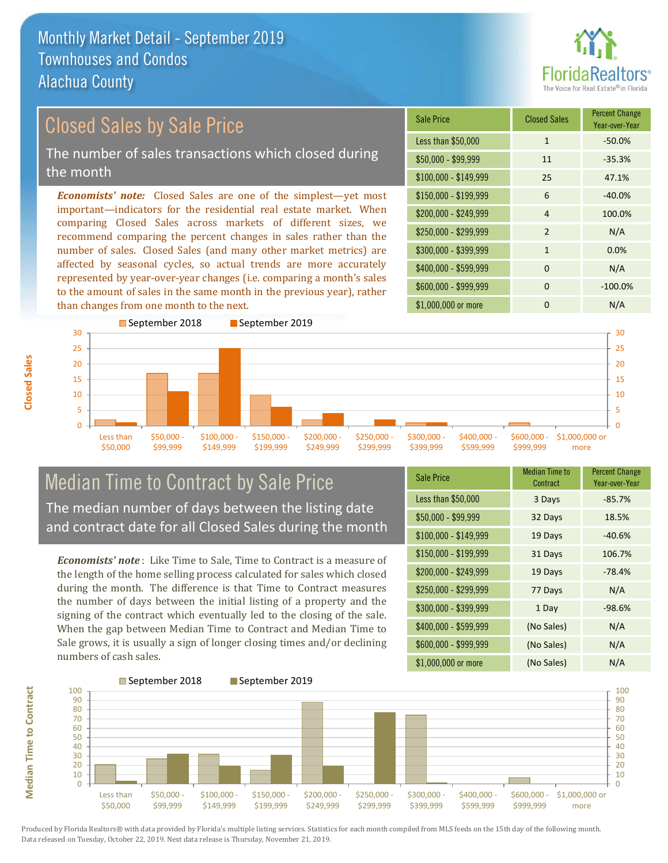than changes from one month to the next.



### \$100,000 - \$149,999 25 47.1% Sale Price Closed Sales Percent Change Year-over-Year Less than \$50,000 1 1 -50.0%  $$50,000 - $99,999$  11  $-35.3\%$ \$150,000 - \$199,999 6 -40.0% \$200,000 - \$249,999 4 100.0%  $$400,000 - $599,999$  0 N/A \$600,000 - \$999,999 0 -100.0% *Economists' note:* Closed Sales are one of the simplest—yet most important—indicators for the residential real estate market. When comparing Closed Sales across markets of different sizes, we recommend comparing the percent changes in sales rather than the number of sales. Closed Sales (and many other market metrics) are affected by seasonal cycles, so actual trends are more accurately represented by year-over-year changes (i.e. comparing a month's sales to the amount of sales in the same month in the previous year), rather \$250,000 - \$299,999 2 N/A \$300,000 - \$399,999 1 0.0% Closed Sales by Sale Price The number of sales transactions which closed during the month



## Median Time to Contract by Sale Price The median number of days between the listing date and contract date for all Closed Sales during the month

*Economists' note* : Like Time to Sale, Time to Contract is a measure of the length of the home selling process calculated for sales which closed during the month. The difference is that Time to Contract measures the number of days between the initial listing of a property and the signing of the contract which eventually led to the closing of the sale. When the gap between Median Time to Contract and Median Time to Sale grows, it is usually a sign of longer closing times and/or declining numbers of cash sales.

| <b>Sale Price</b>     | <b>Median Time to</b><br>Contract | <b>Percent Change</b><br>Year-over-Year |
|-----------------------|-----------------------------------|-----------------------------------------|
| Less than \$50,000    | 3 Days                            | $-85.7%$                                |
| $$50,000 - $99,999$   | 32 Days                           | 18.5%                                   |
| $$100,000 - $149,999$ | 19 Days                           | $-40.6%$                                |
| $$150,000 - $199,999$ | 31 Days                           | 106.7%                                  |
| \$200,000 - \$249,999 | 19 Days                           | $-78.4%$                                |
| \$250,000 - \$299,999 | 77 Days                           | N/A                                     |
| \$300,000 - \$399,999 | 1 Day                             | $-98.6%$                                |
| \$400,000 - \$599,999 | (No Sales)                        | N/A                                     |
| \$600,000 - \$999,999 | (No Sales)                        | N/A                                     |
| \$1,000,000 or more   | (No Sales)                        | N/A                                     |

\$1,000,000 or more 0 0 N/A



Produced by Florida Realtors® with data provided by Florida's multiple listing services. Statistics for each month compiled from MLS feeds on the 15th day of the following month. Data released on Tuesday, October 22, 2019. Next data release is Thursday, November 21, 2019.

**Median Time to Contract**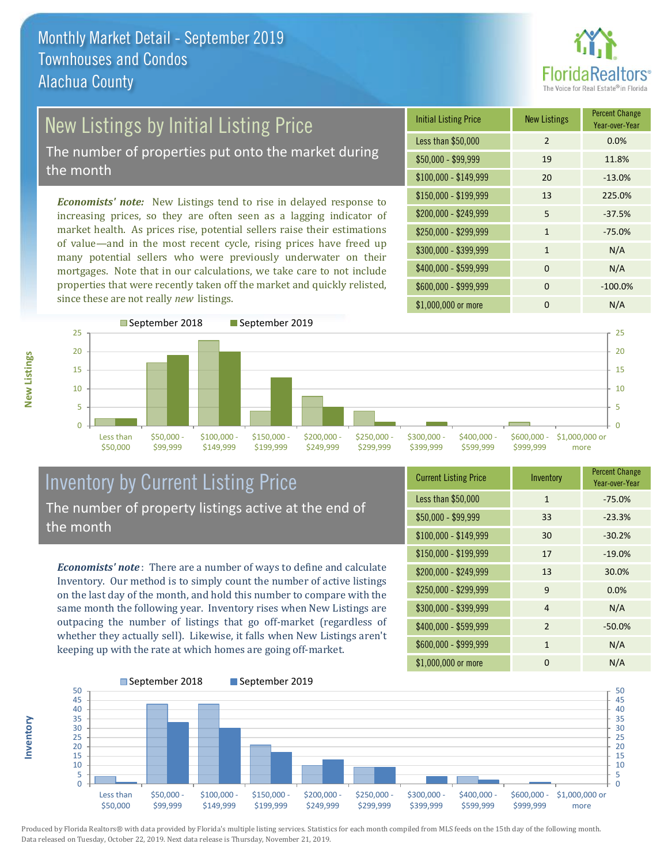

# New Listings by Initial Listing Price

The number of properties put onto the market during the month

*Economists' note:* New Listings tend to rise in delayed response to increasing prices, so they are often seen as a lagging indicator of market health. As prices rise, potential sellers raise their estimations of value—and in the most recent cycle, rising prices have freed up many potential sellers who were previously underwater on their mortgages. Note that in our calculations, we take care to not include properties that were recently taken off the market and quickly relisted, since these are not really *new* listings.

| <b>Initial Listing Price</b> | <b>New Listings</b> | <b>Percent Change</b><br>Year-over-Year |
|------------------------------|---------------------|-----------------------------------------|
| Less than \$50,000           | $\overline{2}$      | 0.0%                                    |
| $$50,000 - $99,999$          | 19                  | 11.8%                                   |
| $$100,000 - $149,999$        | 20                  | $-13.0%$                                |
| $$150,000 - $199,999$        | 13                  | 225.0%                                  |
| \$200,000 - \$249,999        | 5                   | $-37.5%$                                |
| \$250,000 - \$299,999        | 1                   | $-75.0%$                                |
| \$300,000 - \$399,999        | $\mathbf{1}$        | N/A                                     |
| \$400,000 - \$599,999        | $\Omega$            | N/A                                     |
| \$600,000 - \$999,999        | $\Omega$            | $-100.0%$                               |
| \$1,000,000 or more          | n                   | N/A                                     |



## Inventory by Current Listing Price The number of property listings active at the end of the month

*Economists' note* : There are a number of ways to define and calculate Inventory. Our method is to simply count the number of active listings on the last day of the month, and hold this number to compare with the same month the following year. Inventory rises when New Listings are outpacing the number of listings that go off-market (regardless of whether they actually sell). Likewise, it falls when New Listings aren't keeping up with the rate at which homes are going off-market.

**Inventory**

**New Listings**

| <b>Current Listing Price</b> | Inventory      | <b>Percent Change</b><br>Year-over-Year |
|------------------------------|----------------|-----------------------------------------|
| Less than \$50,000           | $\mathbf{1}$   | $-75.0%$                                |
| $$50,000 - $99,999$          | 33             | $-23.3%$                                |
| $$100,000 - $149,999$        | 30             | $-30.2%$                                |
| $$150,000 - $199,999$        | 17             | $-19.0%$                                |
| \$200,000 - \$249,999        | 13             | 30.0%                                   |
| \$250,000 - \$299,999        | 9              | 0.0%                                    |
| \$300,000 - \$399,999        | $\overline{4}$ | N/A                                     |
| \$400,000 - \$599,999        | 2              | $-50.0%$                                |
| \$600,000 - \$999,999        | $\mathbf{1}$   | N/A                                     |
| \$1,000,000 or more          | ŋ              | N/A                                     |

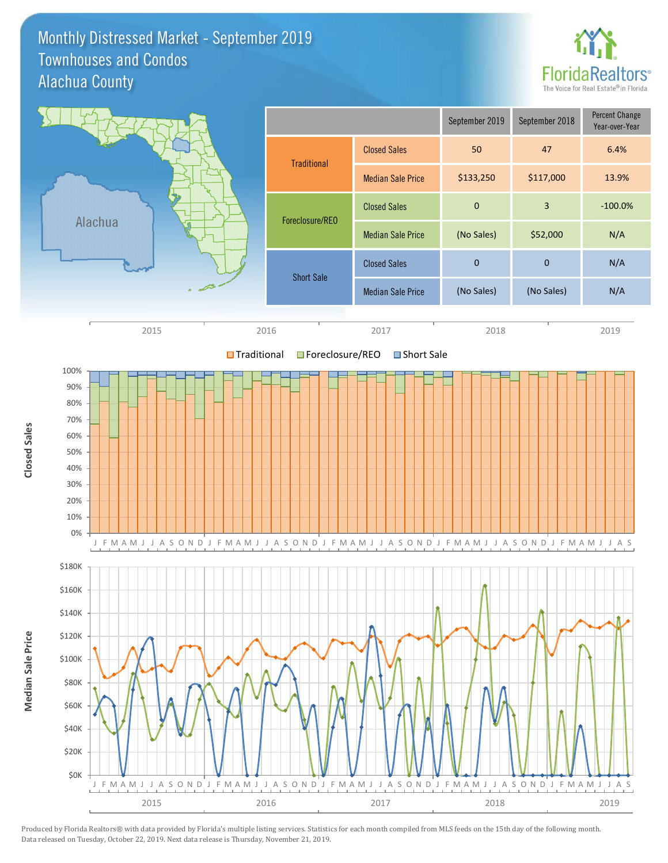## Monthly Distressed Market - September 2019 Alachua County Townhouses and Condos



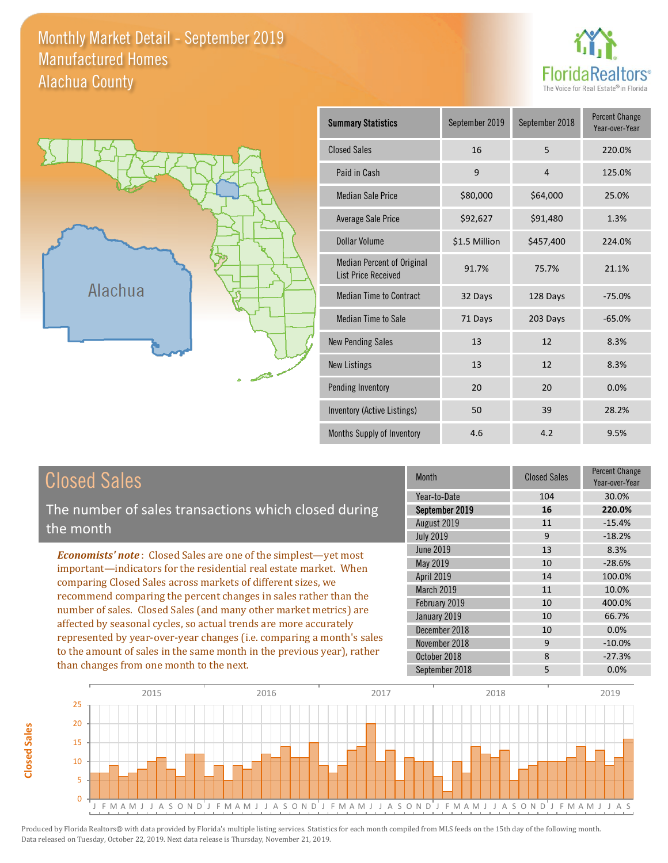## Monthly Market Detail - September 2019 Alachua County Manufactured Homes





**Closed Sales**

**Closed Sales** 

| <b>Summary Statistics</b>                                       | September 2018<br>September 2019 |                | <b>Percent Change</b><br>Year-over-Year |
|-----------------------------------------------------------------|----------------------------------|----------------|-----------------------------------------|
| <b>Closed Sales</b>                                             | 16                               | 5              | 220.0%                                  |
| Paid in Cash                                                    | 9                                | $\overline{4}$ | 125.0%                                  |
| <b>Median Sale Price</b>                                        | \$80,000                         | \$64,000       | 25.0%                                   |
| Average Sale Price                                              | \$92,627                         | \$91,480       | 1.3%                                    |
| Dollar Volume                                                   | \$1.5 Million                    | \$457,400      | 224.0%                                  |
| <b>Median Percent of Original</b><br><b>List Price Received</b> | 91.7%                            | 75.7%          | 21.1%                                   |
| <b>Median Time to Contract</b>                                  | 32 Days                          | 128 Days       | $-75.0%$                                |
| <b>Median Time to Sale</b>                                      | 71 Days                          | 203 Days       | $-65.0%$                                |
| <b>New Pending Sales</b>                                        | 13                               | 12             | 8.3%                                    |
| <b>New Listings</b>                                             | 13                               | 12             | 8.3%                                    |
| Pending Inventory                                               | 20                               | 20             | 0.0%                                    |
| Inventory (Active Listings)                                     | 50                               | 39             | 28.2%                                   |
| Months Supply of Inventory                                      | 4.6                              | 4.2            | 9.5%                                    |

| <b>Closed Sales</b>                                                                                                                                                                                                                                                                                                                                                                                                                                                                                                                                                          | <b>Month</b>                         | <b>Closed Sales</b> | <b>Percent Change</b><br>Year-over-Year |
|------------------------------------------------------------------------------------------------------------------------------------------------------------------------------------------------------------------------------------------------------------------------------------------------------------------------------------------------------------------------------------------------------------------------------------------------------------------------------------------------------------------------------------------------------------------------------|--------------------------------------|---------------------|-----------------------------------------|
| The number of sales transactions which closed during                                                                                                                                                                                                                                                                                                                                                                                                                                                                                                                         | Year-to-Date<br>September 2019       | 104<br>16           | 30.0%<br>220.0%                         |
| the month                                                                                                                                                                                                                                                                                                                                                                                                                                                                                                                                                                    | August 2019                          | 11                  | $-15.4%$                                |
|                                                                                                                                                                                                                                                                                                                                                                                                                                                                                                                                                                              | <b>July 2019</b><br><b>June 2019</b> | 9<br>13             | $-18.2%$<br>8.3%                        |
| <b>Economists' note:</b> Closed Sales are one of the simplest-yet most<br>important—indicators for the residential real estate market. When<br>comparing Closed Sales across markets of different sizes, we<br>recommend comparing the percent changes in sales rather than the<br>number of sales. Closed Sales (and many other market metrics) are<br>affected by seasonal cycles, so actual trends are more accurately<br>represented by year-over-year changes (i.e. comparing a month's sales<br>to the amount of sales in the same month in the previous year), rather | May 2019                             | 10                  | $-28.6%$                                |
|                                                                                                                                                                                                                                                                                                                                                                                                                                                                                                                                                                              | <b>April 2019</b><br>March 2019      | 14<br>11            | 100.0%<br>10.0%                         |
|                                                                                                                                                                                                                                                                                                                                                                                                                                                                                                                                                                              | February 2019                        | 10                  | 400.0%                                  |
|                                                                                                                                                                                                                                                                                                                                                                                                                                                                                                                                                                              | January 2019<br>December 2018        | 10<br>10            | 66.7%<br>0.0%                           |
|                                                                                                                                                                                                                                                                                                                                                                                                                                                                                                                                                                              | November 2018                        | 9                   | $-10.0\%$                               |
| than changes from one month to the next.                                                                                                                                                                                                                                                                                                                                                                                                                                                                                                                                     | October 2018<br>September 2018       | 8<br>5              | $-27.3%$<br>0.0%                        |

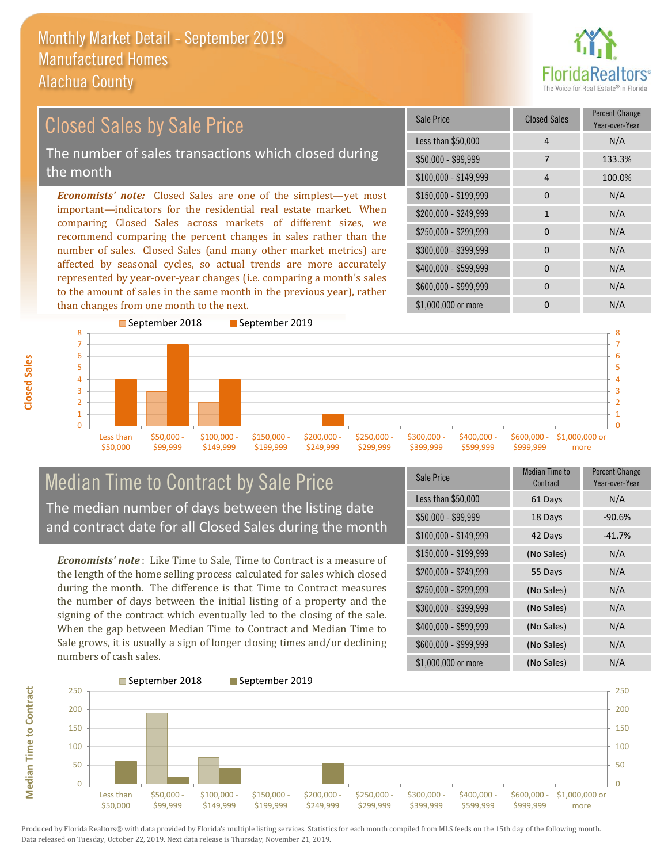

### \$100,000 - \$149,999 4 100.0% Sale Price Closed Sales Percent Change Year-over-Year Less than \$50,000 4 N/A \$50,000 - \$99,999 7 133.3% \$150,000 - \$199,999 0 0 N/A  $$200,000 - $249,999$  1 N/A  $$400,000 - $599,999$  0 N/A \$600,000 - \$999,999 0 0 N/A *Economists' note:* Closed Sales are one of the simplest—yet most important—indicators for the residential real estate market. When comparing Closed Sales across markets of different sizes, we recommend comparing the percent changes in sales rather than the number of sales. Closed Sales (and many other market metrics) are affected by seasonal cycles, so actual trends are more accurately represented by year-over-year changes (i.e. comparing a month's sales to the amount of sales in the same month in the previous year), rather than changes from one month to the next. \$1,000,000 or more 0 0 N/A \$250,000 - \$299,999 0 0 N/A \$300,000 - \$399,999 0 0 N/A Closed Sales by Sale Price The number of sales transactions which closed during the month



## Median Time to Contract by Sale Price The median number of days between the listing date and contract date for all Closed Sales during the month

*Economists' note* : Like Time to Sale, Time to Contract is a measure of the length of the home selling process calculated for sales which closed during the month. The difference is that Time to Contract measures the number of days between the initial listing of a property and the signing of the contract which eventually led to the closing of the sale. When the gap between Median Time to Contract and Median Time to Sale grows, it is usually a sign of longer closing times and/or declining numbers of cash sales.

| Sale Price            | Median Time to<br>Contract | <b>Percent Change</b><br>Year-over-Year |
|-----------------------|----------------------------|-----------------------------------------|
| Less than \$50,000    | 61 Days                    | N/A                                     |
| $$50,000 - $99,999$   | 18 Days                    | $-90.6%$                                |
| $$100,000 - $149,999$ | 42 Days                    | $-41.7%$                                |
| \$150,000 - \$199,999 | (No Sales)                 | N/A                                     |
| \$200,000 - \$249,999 | 55 Days                    | N/A                                     |
| \$250,000 - \$299,999 | (No Sales)                 | N/A                                     |
| \$300,000 - \$399,999 | (No Sales)                 | N/A                                     |
| \$400,000 - \$599,999 | (No Sales)                 | N/A                                     |
| \$600,000 - \$999,999 | (No Sales)                 | N/A                                     |
| \$1,000,000 or more   | (No Sales)                 | N/A                                     |



Produced by Florida Realtors® with data provided by Florida's multiple listing services. Statistics for each month compiled from MLS feeds on the 15th day of the following month. Data released on Tuesday, October 22, 2019. Next data release is Thursday, November 21, 2019.

**Median Time to Contract**

**Median Time to Contract**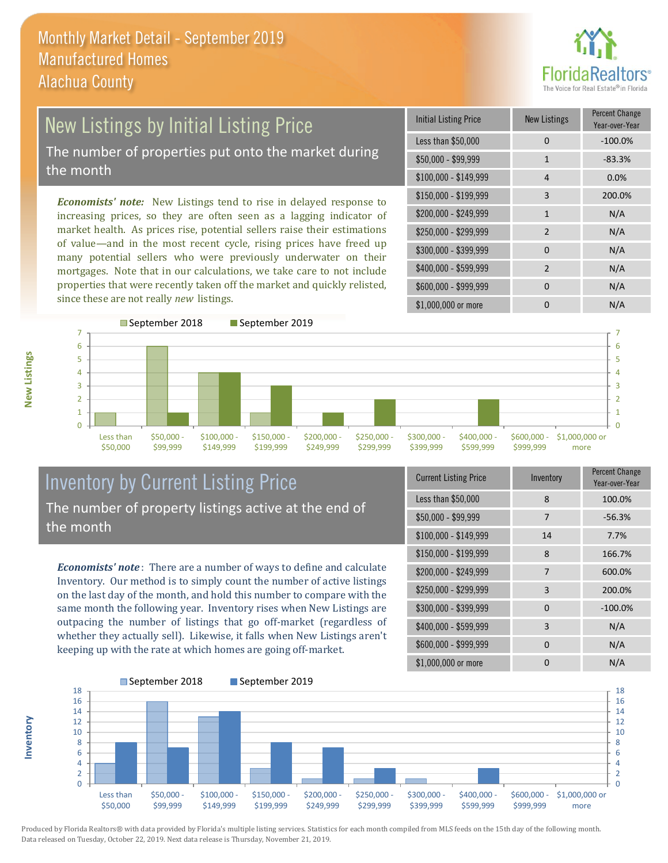

## New Listings by Initial Listing Price The number of properties put onto the market during the month

*Economists' note:* New Listings tend to rise in delayed response to increasing prices, so they are often seen as a lagging indicator of market health. As prices rise, potential sellers raise their estimations of value—and in the most recent cycle, rising prices have freed up many potential sellers who were previously underwater on their mortgages. Note that in our calculations, we take care to not include properties that were recently taken off the market and quickly relisted, since these are not really *new* listings.

| <b>Initial Listing Price</b> | <b>New Listings</b> | <b>Percent Change</b><br>Year-over-Year |
|------------------------------|---------------------|-----------------------------------------|
| Less than \$50,000           | 0                   | $-100.0%$                               |
| $$50,000 - $99,999$          | 1                   | $-83.3%$                                |
| $$100,000 - $149,999$        | 4                   | 0.0%                                    |
| $$150,000 - $199,999$        | 3                   | 200.0%                                  |
| \$200,000 - \$249,999        | $\mathbf{1}$        | N/A                                     |
| \$250,000 - \$299,999        | $\overline{2}$      | N/A                                     |
| \$300,000 - \$399,999        | $\Omega$            | N/A                                     |
| \$400,000 - \$599,999        | $\overline{2}$      | N/A                                     |
| \$600,000 - \$999,999        | 0                   | N/A                                     |
| \$1,000,000 or more          | O                   | N/A                                     |



## Inventory by Current Listing Price The number of property listings active at the end of the month

*Economists' note* : There are a number of ways to define and calculate Inventory. Our method is to simply count the number of active listings on the last day of the month, and hold this number to compare with the same month the following year. Inventory rises when New Listings are outpacing the number of listings that go off-market (regardless of whether they actually sell). Likewise, it falls when New Listings aren't keeping up with the rate at which homes are going off-market.

| <b>Current Listing Price</b> | Inventory | Percent Change<br>Year-over-Year |
|------------------------------|-----------|----------------------------------|
| Less than \$50,000           | 8         | 100.0%                           |
| $$50,000 - $99,999$          | 7         | $-56.3%$                         |
| $$100,000 - $149,999$        | 14        | 7.7%                             |
| $$150,000 - $199,999$        | 8         | 166.7%                           |
| \$200,000 - \$249,999        | 7         | 600.0%                           |
| \$250,000 - \$299,999        | 3         | 200.0%                           |
| \$300,000 - \$399,999        | $\Omega$  | $-100.0%$                        |
| \$400,000 - \$599,999        | 3         | N/A                              |
| \$600,000 - \$999,999        | $\Omega$  | N/A                              |
| \$1,000,000 or more          | O         | N/A                              |



Produced by Florida Realtors® with data provided by Florida's multiple listing services. Statistics for each month compiled from MLS feeds on the 15th day of the following month. Data released on Tuesday, October 22, 2019. Next data release is Thursday, November 21, 2019.

**Inventory**